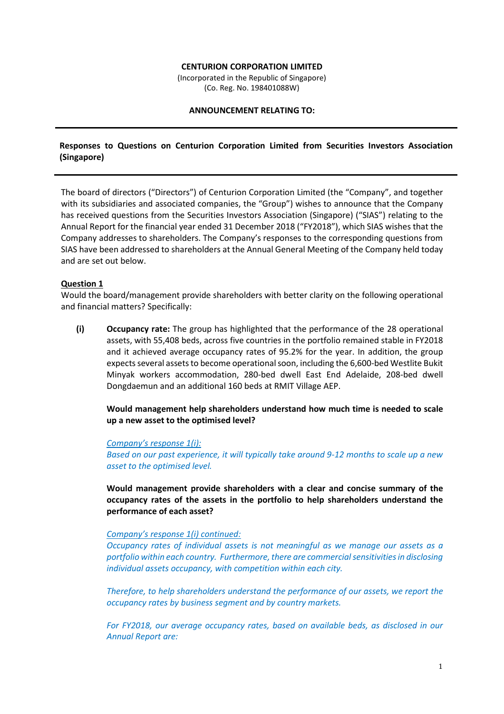### **CENTURION CORPORATION LIMITED**

(Incorporated in the Republic of Singapore) (Co. Reg. No. 198401088W)

#### **ANNOUNCEMENT RELATING TO:**

## **Responses to Questions on Centurion Corporation Limited from Securities Investors Association (Singapore)**

The board of directors ("Directors") of Centurion Corporation Limited (the "Company", and together with its subsidiaries and associated companies, the "Group") wishes to announce that the Company has received questions from the Securities Investors Association (Singapore) ("SIAS") relating to the Annual Report for the financial year ended 31 December 2018 ("FY2018"), which SIAS wishes that the Company addresses to shareholders. The Company's responses to the corresponding questions from SIAS have been addressed to shareholders at the Annual General Meeting of the Company held today and are set out below.

### **Question 1**

Would the board/management provide shareholders with better clarity on the following operational and financial matters? Specifically:

**(i) Occupancy rate:** The group has highlighted that the performance of the 28 operational assets, with 55,408 beds, across five countries in the portfolio remained stable in FY2018 and it achieved average occupancy rates of 95.2% for the year. In addition, the group expects several assets to become operational soon, including the 6,600-bed Westlite Bukit Minyak workers accommodation, 280-bed dwell East End Adelaide, 208-bed dwell Dongdaemun and an additional 160 beds at RMIT Village AEP.

## **Would management help shareholders understand how much time is needed to scale up a new asset to the optimised level?**

#### *Company's response 1(i):*

*Based on our past experience, it will typically take around 9-12 months to scale up a new asset to the optimised level.* 

**Would management provide shareholders with a clear and concise summary of the occupancy rates of the assets in the portfolio to help shareholders understand the performance of each asset?** 

#### *Company's response 1(i) continued:*

*Occupancy rates of individual assets is not meaningful as we manage our assets as a portfolio within each country. Furthermore, there are commercial sensitivities in disclosing individual assets occupancy, with competition within each city.* 

*Therefore, to help shareholders understand the performance of our assets, we report the occupancy rates by business segment and by country markets.* 

*For FY2018, our average occupancy rates, based on available beds, as disclosed in our Annual Report are:*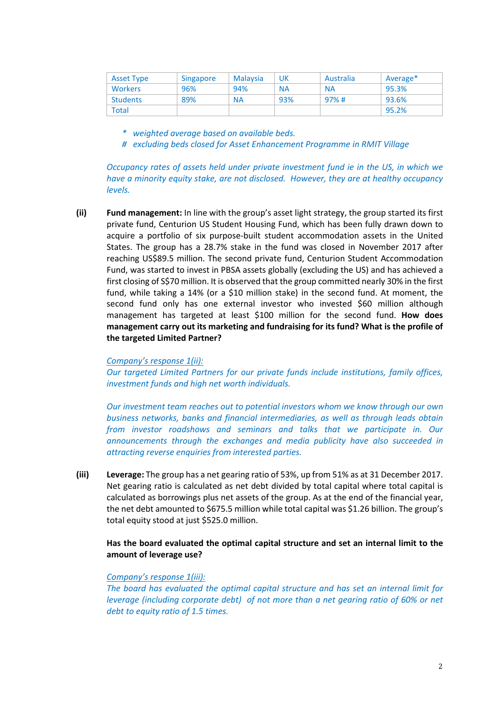| <b>Asset Type</b> | Singapore | <b>Malaysia</b> | UK  | Australia | Average <sup>*</sup> |
|-------------------|-----------|-----------------|-----|-----------|----------------------|
| <b>Workers</b>    | 96%       | 94%             | ΝA  | <b>NA</b> | 95.3%                |
| <b>Students</b>   | 89%       | ΝA              | 93% | 97%#      | 93.6%                |
| Total             |           |                 |     |           | 95.2%                |

*\* weighted average based on available beds.* 

*# excluding beds closed for Asset Enhancement Programme in RMIT Village* 

*Occupancy rates of assets held under private investment fund ie in the US, in which we have a minority equity stake, are not disclosed. However, they are at healthy occupancy levels.* 

**(ii) Fund management:** In line with the group's asset light strategy, the group started its first private fund, Centurion US Student Housing Fund, which has been fully drawn down to acquire a portfolio of six purpose-built student accommodation assets in the United States. The group has a 28.7% stake in the fund was closed in November 2017 after reaching US\$89.5 million. The second private fund, Centurion Student Accommodation Fund, was started to invest in PBSA assets globally (excluding the US) and has achieved a first closing of S\$70 million. It is observed that the group committed nearly 30% in the first fund, while taking a 14% (or a \$10 million stake) in the second fund. At moment, the second fund only has one external investor who invested \$60 million although management has targeted at least \$100 million for the second fund. **How does management carry out its marketing and fundraising for its fund? What is the profile of the targeted Limited Partner?**

### *Company's response 1(ii):*

*Our targeted Limited Partners for our private funds include institutions, family offices, investment funds and high net worth individuals.* 

*Our investment team reaches out to potential investors whom we know through our own business networks, banks and financial intermediaries, as well as through leads obtain from investor roadshows and seminars and talks that we participate in. Our announcements through the exchanges and media publicity have also succeeded in attracting reverse enquiries from interested parties.* 

**(iii) Leverage:** The group has a net gearing ratio of 53%, up from 51% as at 31 December 2017. Net gearing ratio is calculated as net debt divided by total capital where total capital is calculated as borrowings plus net assets of the group. As at the end of the financial year, the net debt amounted to \$675.5 million while total capital was \$1.26 billion. The group's total equity stood at just \$525.0 million.

**Has the board evaluated the optimal capital structure and set an internal limit to the amount of leverage use?**

### *Company's response 1(iii):*

*The board has evaluated the optimal capital structure and has set an internal limit for leverage (including corporate debt) of not more than a net gearing ratio of 60% or net debt to equity ratio of 1.5 times.*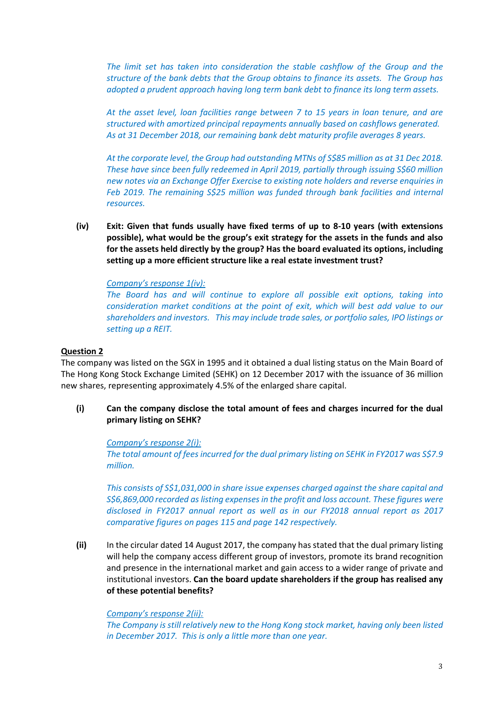*The limit set has taken into consideration the stable cashflow of the Group and the structure of the bank debts that the Group obtains to finance its assets. The Group has adopted a prudent approach having long term bank debt to finance its long term assets.* 

*At the asset level, loan facilities range between 7 to 15 years in loan tenure, and are structured with amortized principal repayments annually based on cashflows generated. As at 31 December 2018, our remaining bank debt maturity profile averages 8 years.* 

*At the corporate level, the Group had outstanding MTNs of S\$85 million as at 31 Dec 2018. These have since been fully redeemed in April 2019, partially through issuing S\$60 million new notes via an Exchange Offer Exercise to existing note holders and reverse enquiries in Feb 2019. The remaining S\$25 million was funded through bank facilities and internal resources.* 

**(iv) Exit: Given that funds usually have fixed terms of up to 8-10 years (with extensions possible), what would be the group's exit strategy for the assets in the funds and also for the assets held directly by the group? Has the board evaluated its options, including setting up a more efficient structure like a real estate investment trust?** 

## *Company's response 1(iv):*

*The Board has and will continue to explore all possible exit options, taking into consideration market conditions at the point of exit, which will best add value to our shareholders and investors. This may include trade sales, or portfolio sales, IPO listings or setting up a REIT.* 

### **Question 2**

The company was listed on the SGX in 1995 and it obtained a dual listing status on the Main Board of The Hong Kong Stock Exchange Limited (SEHK) on 12 December 2017 with the issuance of 36 million new shares, representing approximately 4.5% of the enlarged share capital.

**(i) Can the company disclose the total amount of fees and charges incurred for the dual primary listing on SEHK?** 

### *Company's response 2(i):*

*The total amount of fees incurred for the dual primary listing on SEHK in FY2017 was S\$7.9 million.* 

*This consists of S\$1,031,000 in share issue expenses charged against the share capital and S\$6,869,000 recorded as listing expenses in the profit and loss account. These figures were disclosed in FY2017 annual report as well as in our FY2018 annual report as 2017 comparative figures on pages 115 and page 142 respectively.* 

**(ii)** In the circular dated 14 August 2017, the company has stated that the dual primary listing will help the company access different group of investors, promote its brand recognition and presence in the international market and gain access to a wider range of private and institutional investors. **Can the board update shareholders if the group has realised any of these potential benefits?** 

### *Company's response 2(ii):*

*The Company is still relatively new to the Hong Kong stock market, having only been listed in December 2017. This is only a little more than one year.*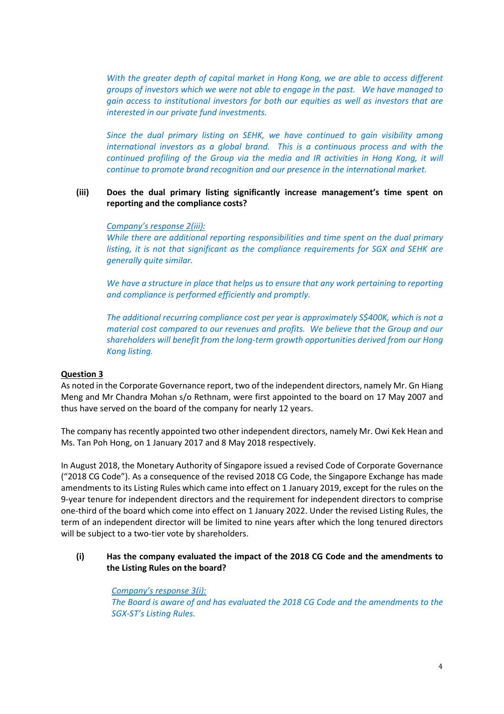With the greater depth of capital market in Hong Kong, we are able to access different *groups of investors which we were not able to engage in the past. We have managed to gain access to institutional investors for both our equities as well as investors that are interested in our private fund investments.* 

*Since the dual primary listing on SEHK, we have continued to gain visibility among international investors as a global brand. This is a continuous process and with the continued profiling of the Group via the media and IR activities in Hong Kong, it will continue to promote brand recognition and our presence in the international market.* 

# **(iii) Does the dual primary listing significantly increase management's time spent on reporting and the compliance costs?**

### *Company's response 2(iii):*

*While there are additional reporting responsibilities and time spent on the dual primary listing, it is not that significant as the compliance requirements for SGX and SEHK are generally quite similar.* 

We have a structure in place that helps us to ensure that any work pertaining to reporting *and compliance is performed efficiently and promptly.* 

*The additional recurring compliance cost per year is approximately S\$400K, which is not a material cost compared to our revenues and profits. We believe that the Group and our shareholders will benefit from the long-term growth opportunities derived from our Hong Kong listing.* 

#### **Question 3**

As noted in the Corporate Governance report, two of the independent directors, namely Mr. Gn Hiang Meng and Mr Chandra Mohan s/o Rethnam, were first appointed to the board on 17 May 2007 and thus have served on the board of the company for nearly 12 years.

The company has recently appointed two other independent directors, namely Mr. Owi Kek Hean and Ms. Tan Poh Hong, on 1 January 2017 and 8 May 2018 respectively.

In August 2018, the Monetary Authority of Singapore issued a revised Code of Corporate Governance ("2018 CG Code"). As a consequence of the revised 2018 CG Code, the Singapore Exchange has made amendments to its Listing Rules which came into effect on 1 January 2019, except for the rules on the 9-year tenure for independent directors and the requirement for independent directors to comprise one-third of the board which come into effect on 1 January 2022. Under the revised Listing Rules, the term of an independent director will be limited to nine years after which the long tenured directors will be subject to a two-tier vote by shareholders.

### **(i) Has the company evaluated the impact of the 2018 CG Code and the amendments to the Listing Rules on the board?**

# *Company's response 3(i): The Board is aware of and has evaluated the 2018 CG Code and the amendments to the SGX-ST's Listing Rules.*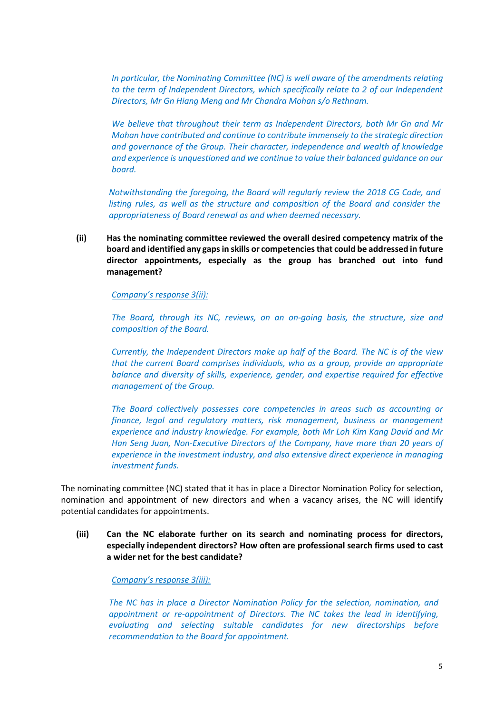*In particular, the Nominating Committee (NC) is well aware of the amendments relating to the term of Independent Directors, which specifically relate to 2 of our Independent Directors, Mr Gn Hiang Meng and Mr Chandra Mohan s/o Rethnam.* 

*We believe that throughout their term as Independent Directors, both Mr Gn and Mr Mohan have contributed and continue to contribute immensely to the strategic direction and governance of the Group. Their character, independence and wealth of knowledge and experience is unquestioned and we continue to value their balanced guidance on our board.* 

*Notwithstanding the foregoing, the Board will regularly review the 2018 CG Code, and listing rules, as well as the structure and composition of the Board and consider the appropriateness of Board renewal as and when deemed necessary.* 

**(ii) Has the nominating committee reviewed the overall desired competency matrix of the board and identified any gaps in skills or competencies that could be addressed in future director appointments, especially as the group has branched out into fund management?** 

### *Company's response 3(ii):*

*The Board, through its NC, reviews, on an on-going basis, the structure, size and composition of the Board.* 

*Currently, the Independent Directors make up half of the Board. The NC is of the view that the current Board comprises individuals, who as a group, provide an appropriate balance and diversity of skills, experience, gender, and expertise required for effective management of the Group.* 

*The Board collectively possesses core competencies in areas such as accounting or finance, legal and regulatory matters, risk management, business or management experience and industry knowledge. For example, both Mr Loh Kim Kang David and Mr Han Seng Juan, Non-Executive Directors of the Company, have more than 20 years of experience in the investment industry, and also extensive direct experience in managing investment funds.* 

The nominating committee (NC) stated that it has in place a Director Nomination Policy for selection, nomination and appointment of new directors and when a vacancy arises, the NC will identify potential candidates for appointments.

**(iii) Can the NC elaborate further on its search and nominating process for directors, especially independent directors? How often are professional search firms used to cast a wider net for the best candidate?** 

*Company's response 3(iii):* 

*The NC has in place a Director Nomination Policy for the selection, nomination, and appointment or re-appointment of Directors. The NC takes the lead in identifying, evaluating and selecting suitable candidates for new directorships before recommendation to the Board for appointment.*